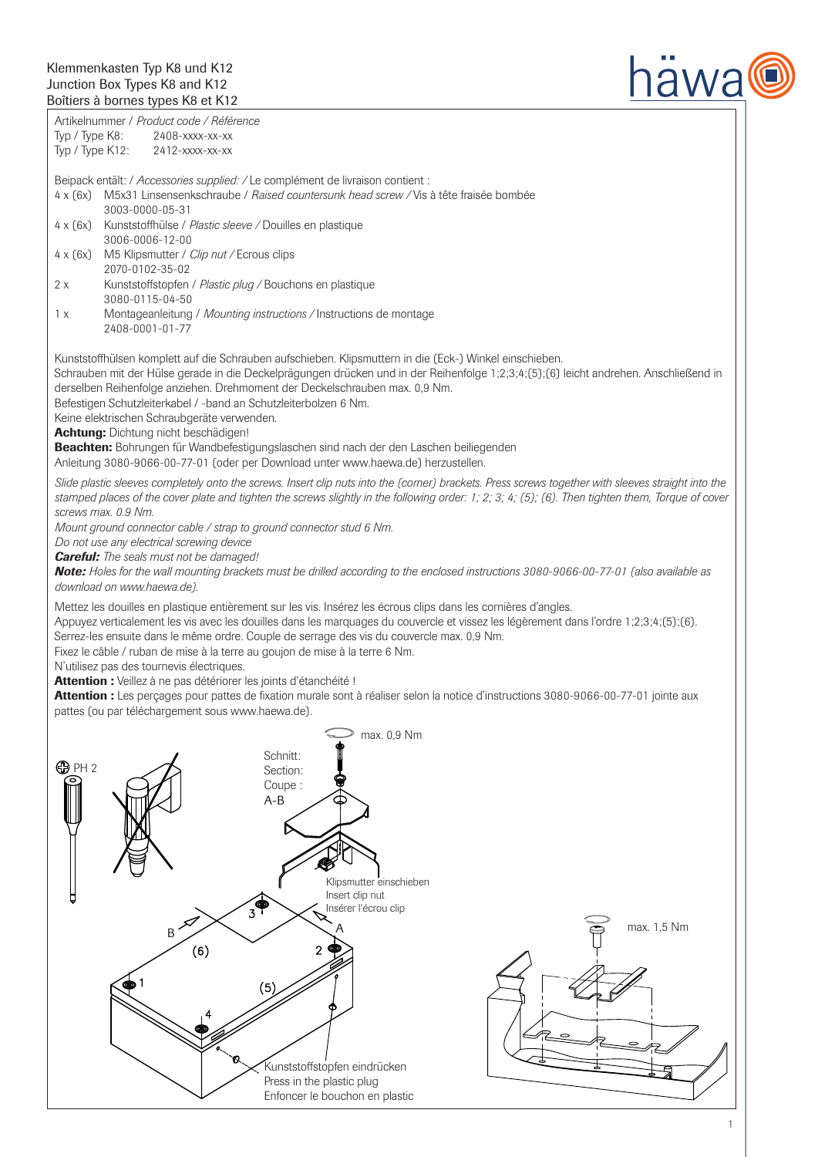

Artikelnummer / *Product code / Référence* Typ / Type K8: 2408-xxxx-xx-xx Typ / Type K12: 2412-xxxx-xx-xx

Beipack entält: / *Accessories supplied: /* Le complément de livraison contient :

- 4 x (6x) M5x31 Linsensenkschraube / *Raised countersunk head screw /* Vis à tête fraisée bombée 3003-0000-05-31
- 4 x (6x) Kunststoffhülse / *Plastic sleeve /* Douilles en plastique 3006-0006-12-00
- 4 x (6x) M5 Klipsmutter / *Clip nut /* Ecrous clips 2070-0102-35-02 2 x Kunststoffstopfen / *Plastic plug /* Bouchons en plastique

3080-0115-04-50

1 x Montageanleitung / *Mounting instructions /* Instructions de montage 2408-0001-01-77

Kunststoffhülsen komplett auf die Schrauben aufschieben. Klipsmuttern in die (Eck-) Winkel einschieben.

Schrauben mit der Hülse gerade in die Deckelprägungen drücken und in der Reihenfolge 1;2;3;4;(5);(6) leicht andrehen. Anschließend in derselben Reihenfolge anziehen. Drehmoment der Deckelschrauben max. 0,9 Nm.

Befestigen Schutzleiterkabel / -band an Schutzleiterbolzen 6 Nm.

Keine elektrischen Schraubgeräte verwenden.

Achtung: Dichtung nicht beschädigen!

Beachten: Bohrungen für Wandbefestigungslaschen sind nach der den Laschen beiliegenden

Anleitung 3080-9066-00-77-01 (oder per Download unter www.haewa.de) herzustellen.

Slide plastic sleeves completely onto the screws. Insert clip nuts into the (corner) brackets. Press screws together with sleeves straight into the *stamped places of the cover plate and tighten the screws slightly in the following order: 1; 2; 3; 4; (5); (6). Then tighten them, Torque of cover screws max. 0.9 Nm.* 

*Mount ground connector cable / strap to ground connector stud 6 Nm.*

*Do not use any electrical screwing device*

*Careful: The seals must not be damaged!*

*Note: Holes for the wall mounting brackets must be drilled according to the enclosed instructions 3080-9066-00-77-01 (also available as download on www.haewa.de).* 

Mettez les douilles en plastique entièrement sur les vis. Insérez les écrous clips dans les cornières d'angles.

Appuyez verticalement les vis avec les douilles dans les marquages du couvercle et vissez les légèrement dans l'ordre 1;2;3;4;(5);(6).

Serrez-les ensuite dans le même ordre. Couple de serrage des vis du couvercle max. 0,9 Nm.

Fixez le câble / ruban de mise à la terre au goujon de mise à la terre 6 Nm.

N'utilisez pas des tournevis électriques.

Attention : Veillez à ne pas détériorer les joints d'étanchéité !

Attention : Les perçages pour pattes de fixation murale sont à réaliser selon la notice d'instructions 3080-9066-00-77-01 jointe aux pattes (ou par téléchargement sous www.haewa.de).